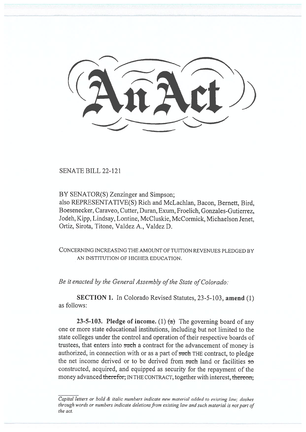SENATE BILL 22-121

BY SENATOR(S) Zenzinger and Simpson;

also REPRESENTATIVE(S) Rich and McLachlan, Bacon, Bernett, Bird, Boesenecker, Caraveo, Cutter, Duran, Exum, Froelich, Gonzales-Gutierrez, Jodeh, Kipp, Lindsay, Lontine, McCluskie, McCormick, Michaelson Jenet, Ortiz, Sirota, Titone, Valdez A., Valdez D.

CONCERNING INCREASING THE AMOUNT OF TUITION REVENUES PLEDGED BY AN INSTITUTION OF HIGHER EDUCATION.

Be it enacted by the General Assembly of the State of Colorado:

SECTION 1. In Colorado Revised Statutes, 23-5-103, amend (1) as follows:

23-5-103. Pledge of income. (1)  $(a)$  The governing board of any one or more state educational institutions, including but not limited to the state colleges under the control and operation of their respective boards of trustees, that enters into such a contract for the advancement of money is authorized, in connection with or as a part of such THE contract, to pledge the net income derived or to be derived from such land or facilities so constructed, acquired, and equipped as security for the repayment of the money advanced therefor, IN THE CONTRACT, together with interest, thereon,

Capital letters or bold & italic numbers indicate new material added to existing law; dashes through words or numbers indicate deletions from existing law and such material is not part of the act.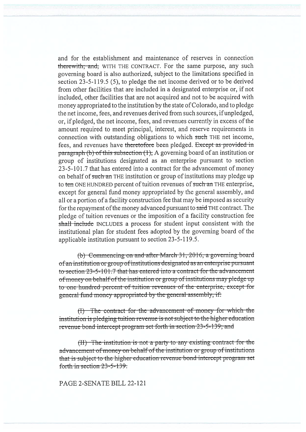and for the establishment and maintenance of reserves in connection there with: and, WITH THE CONTRACT. For the same purpose, any such governing board is also authorized, subject to the limitations specified in section 23-5-119.5 (5), to pledge the net income derived or to be derived from other facilities that are included in a designated enterprise or, if not included, other facilities that are not acquired and not to be acquired with money appropriated to the institution by the state of Colorado, and to pledge the net income, fees, and revenues derived from such sources, if unpledged, or, if pledged, the net income, fees, and revenues currently in excess of the amount required to meet principal, interest, and reserve requirements in connection with outstanding obligations to which such THE net income, fees, and revenues have theretofore been pledged. Except as provided in paragraph (b) of this subsection  $(1)$ , A governing board of an institution or group of institutions designated as an enterprise pursuant to section 23-5-101.7 that has entered into a contract for the advancement of money on behalf of such an THE institution or group of institutions may pledge up to ten ONE HUNDRED percent of tuition revenues of such an THE enterprise, except for general fund money appropriated by the general assembly, and all or a portion of a facility construction fee that may be imposed as security for the repayment of the money advanced pursuant to said THE contract. The pledge of tuition revenues or the imposition of a facility construction fee shall include INCLUDES a process for student input consistent with the institutional plan for student fees adopted by the governing board of the applicable institution pursuant to section 23-5-119.5.

(b) Commeneing-on-and-after-March 31, 2016, a governing-board of an institution or group of institutions designated as an enterprise pursuant to section  $23-5-101.7$  that has entered into a contract for the advancement of money on behalf of the institution or group of institutions may pledge up to-one-hundred-percent of tuition-revenues of the enterprise, except-for general fund money appropriated by the general assembly, if:

 $(t)$  The contract for the advancement of money for which the institution is pledging tuition revenue is not subject to the higher education revenue bond intercept program set forth in section 23-5-139; and

(II) The institution is not a party to any existing contract for the advancement of money on behalf of the institution or group of institutions that is subject to the higher education revenue-bond-intercept-program-set forth in section 23-5-139.

PAGE 2-SENATE BILL 22-121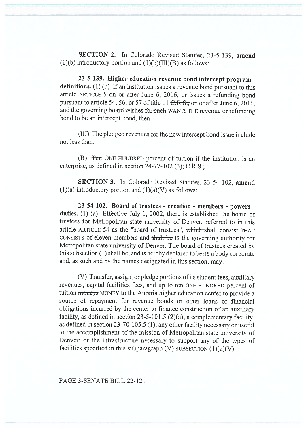SECTION 2. In Colorado Revised Statutes, 23-5-139, amend  $(1)(b)$  introductory portion and  $(1)(b)(III)(B)$  as follows:

23-5-139. Higher education revenue bond intercept program definitions. (1) (b) If an institution issues a revenue bond pursuant to this article ARTICLE 5 on or after June 6, 2016, or issues a refunding bond pursuant to article 54, 56, or 57 of title 11  $C.R.S.,$  on or after June 6, 2016, and the governing board wishes for such WANTS THE revenue or refunding bond to be an intercept bond, then:

(III) The pledged revenues for the new intercept bond issue include not less than:

(B)  $\text{Ten}$  ONE HUNDRED percent of tuition if the institution is an enterprise, as defined in section  $24-77-102$  (3);  $C.R.S.,$ 

SECTION 3. In Colorado Revised Statutes, 23-54-102, amend (1)(a) introductory portion and  $(1)(a)(V)$  as follows:

23-54-102. Board of trustees - creation - members - powers duties. (1) (a) Effective July 1, 2002, there is established the board of trustees for Metropolitan state university of Denver, referred to in this article ARTICLE 54 as the "board of trustees", which shall consist THAT CONSISTS of eleven members and shall be Is the governing authority for Metropolitan state university of Denver. The board of trustees created by this subsection (1) shall-be, and is hereby declared to be; IS a body corporate and, as such and by the names designated in this section, may:

(V) Transfer, assign, or pledge portions of its student fees, auxiliary revenues, capital facilities fees, and up to ten ONE HUNDRED percent of tuition moneys MONEY to the Auraria higher education center to provide a source of repayment for revenue bonds or other loans or financial obligations incurred by the center to finance construction of an auxiliary facility, as defined in section 23-5-101.5 (2)(a); a complementary facility, as defined in section 23-70-105.5 (1); any other facility necessary or useful to the accomplishment of the mission of Metropolitan state university of Denver; or the infrastructure necessary to support any of the types of facilities specified in this subparagraph  $(V)$  SUBSECTION (1)(a)(V).

## PAGE 3-SENATE BILL 22-121